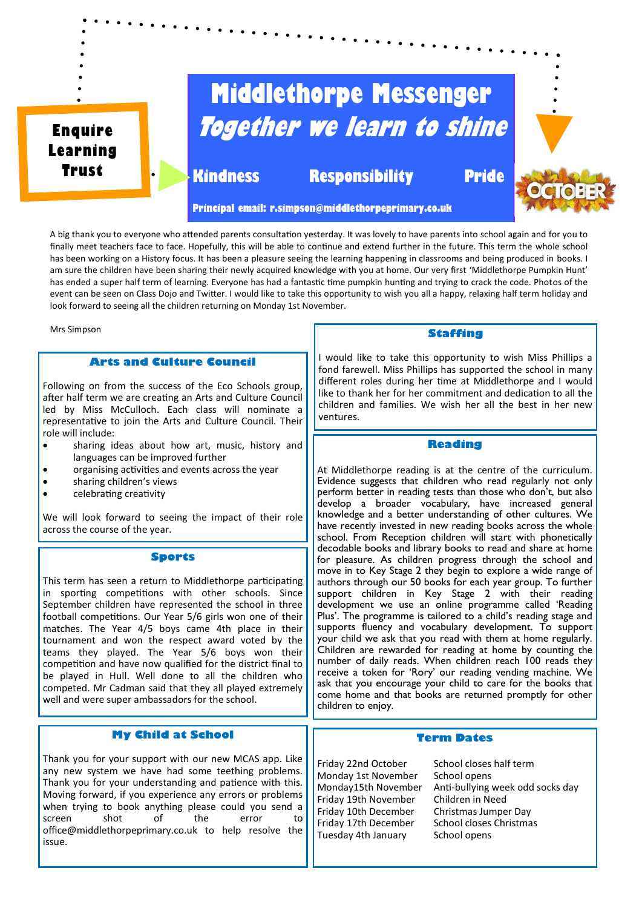

A big thank you to everyone who attended parents consultation yesterday. It was lovely to have parents into school again and for you to finally meet teachers face to face. Hopefully, this will be able to continue and extend further in the future. This term the whole school has been working on a History focus. It has been a pleasure seeing the learning happening in classrooms and being produced in books. I am sure the children have been sharing their newly acquired knowledge with you at home. Our very first 'Middlethorpe Pumpkin Hunt' has ended a super half term of learning. Everyone has had a fantastic time pumpkin hunting and trying to crack the code. Photos of the event can be seen on Class Dojo and Twitter. I would like to take this opportunity to wish you all a happy, relaxing half term holiday and look forward to seeing all the children returning on Monday 1st November.

Mrs Simpson

## **Arts and Culture Council**

Following on from the success of the Eco Schools group, after half term we are creating an Arts and Culture Council led by Miss McCulloch. Each class will nominate a representative to join the Arts and Culture Council. Their role will include:

- sharing ideas about how art, music, history and languages can be improved further
- organising activities and events across the year
- sharing children's views
- celebrating creativity

We will look forward to seeing the impact of their role across the course of the year.

#### **Sports**

This term has seen a return to Middlethorpe participating in sporting competitions with other schools. Since September children have represented the school in three football competitions. Our Year 5/6 girls won one of their matches. The Year 4/5 boys came 4th place in their tournament and won the respect award voted by the teams they played. The Year 5/6 boys won their competition and have now qualified for the district final to be played in Hull. Well done to all the children who competed. Mr Cadman said that they all played extremely well and were super ambassadors for the school.

# **My Child at School**

Thank you for your support with our new MCAS app. Like any new system we have had some teething problems. Thank you for your understanding and patience with this. Moving forward, if you experience any errors or problems when trying to book anything please could you send a<br>screen shot of the error to screen shot of the error to office@middlethorpeprimary.co.uk to help resolve the issue.

#### **Staffing**

I would like to take this opportunity to wish Miss Phillips a fond farewell. Miss Phillips has supported the school in many different roles during her time at Middlethorpe and I would like to thank her for her commitment and dedication to all the children and families. We wish her all the best in her new ventures.

### **Reading**

At Middlethorpe reading is at the centre of the curriculum. Evidence suggests that children who read regularly not only perform better in reading tests than those who don't, but also develop a broader vocabulary, have increased general knowledge and a better understanding of other cultures. We have recently invested in new reading books across the whole school. From Reception children will start with phonetically decodable books and library books to read and share at home for pleasure. As children progress through the school and move in to Key Stage 2 they begin to explore a wide range of authors through our 50 books for each year group. To further support children in Key Stage 2 with their reading development we use an online programme called 'Reading Plus'. The programme is tailored to a child's reading stage and supports fluency and vocabulary development. To support your child we ask that you read with them at home regularly. Children are rewarded for reading at home by counting the number of daily reads. When children reach 100 reads they receive a token for 'Rory' our reading vending machine. We ask that you encourage your child to care for the books that come home and that books are returned promptly for other children to enjoy.

## **Term Dates**

Friday 22nd October School closes half term<br>Monday 1st November School opens Monday 1st November<br>Mondav15th November Friday 19th November Children in Need<br>Friday 10th December Christmas Jumper Dav Friday 10th December Christmas Jumper Day<br>Friday 17th December School closes Christmas Friday 17th December Tuesday 4th January School opens

Anti-bullying week odd socks day<br>Children in Need